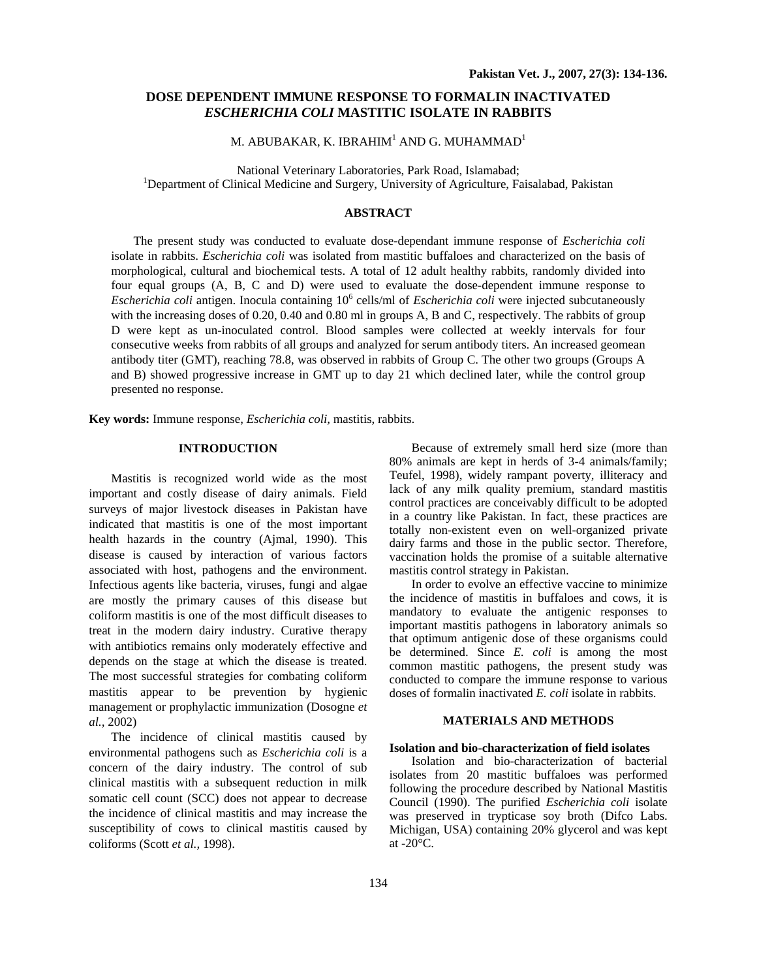# **DOSE DEPENDENT IMMUNE RESPONSE TO FORMALIN INACTIVATED**  *ESCHERICHIA COLI* **MASTITIC ISOLATE IN RABBITS**

# M. ABUBAKAR, K. IBRAHIM $^{\rm l}$  AND G. MUHAMMAD $^{\rm l}$

National Veterinary Laboratories, Park Road, Islamabad; 1 <sup>1</sup>Department of Clinical Medicine and Surgery, University of Agriculture, Faisalabad, Pakistan

# **ABSTRACT**

 The present study was conducted to evaluate dose-dependant immune response of *Escherichia coli* isolate in rabbits. *Escherichia coli* was isolated from mastitic buffaloes and characterized on the basis of morphological, cultural and biochemical tests. A total of 12 adult healthy rabbits, randomly divided into four equal groups (A, B, C and D) were used to evaluate the dose-dependent immune response to Escherichia coli antigen. Inocula containing 10<sup>6</sup> cells/ml of *Escherichia coli* were injected subcutaneously with the increasing doses of 0.20, 0.40 and 0.80 ml in groups A, B and C, respectively. The rabbits of group D were kept as un-inoculated control. Blood samples were collected at weekly intervals for four consecutive weeks from rabbits of all groups and analyzed for serum antibody titers. An increased geomean antibody titer (GMT), reaching 78.8, was observed in rabbits of Group C. The other two groups (Groups A and B) showed progressive increase in GMT up to day 21 which declined later, while the control group presented no response.

**Key words:** Immune response, *Escherichia coli,* mastitis, rabbits.

## **INTRODUCTION**

 Mastitis is recognized world wide as the most important and costly disease of dairy animals. Field surveys of major livestock diseases in Pakistan have indicated that mastitis is one of the most important health hazards in the country (Ajmal, 1990). This disease is caused by interaction of various factors associated with host, pathogens and the environment. Infectious agents like bacteria, viruses, fungi and algae are mostly the primary causes of this disease but coliform mastitis is one of the most difficult diseases to treat in the modern dairy industry. Curative therapy with antibiotics remains only moderately effective and depends on the stage at which the disease is treated. The most successful strategies for combating coliform mastitis appear to be prevention by hygienic management or prophylactic immunization (Dosogne *et al.,* 2002)

 The incidence of clinical mastitis caused by environmental pathogens such as *Escherichia coli* is a concern of the dairy industry. The control of sub clinical mastitis with a subsequent reduction in milk somatic cell count (SCC) does not appear to decrease the incidence of clinical mastitis and may increase the susceptibility of cows to clinical mastitis caused by coliforms (Scott *et al.,* 1998).

 Because of extremely small herd size (more than 80% animals are kept in herds of 3-4 animals/family; Teufel, 1998), widely rampant poverty, illiteracy and lack of any milk quality premium, standard mastitis control practices are conceivably difficult to be adopted in a country like Pakistan. In fact, these practices are totally non-existent even on well-organized private dairy farms and those in the public sector. Therefore, vaccination holds the promise of a suitable alternative mastitis control strategy in Pakistan.

 In order to evolve an effective vaccine to minimize the incidence of mastitis in buffaloes and cows, it is mandatory to evaluate the antigenic responses to important mastitis pathogens in laboratory animals so that optimum antigenic dose of these organisms could be determined. Since *E. coli* is among the most common mastitic pathogens, the present study was conducted to compare the immune response to various doses of formalin inactivated *E. coli* isolate in rabbits.

## **MATERIALS AND METHODS**

#### **Isolation and bio-characterization of field isolates**

Isolation and bio-characterization of bacterial isolates from 20 mastitic buffaloes was performed following the procedure described by National Mastitis Council (1990). The purified *Escherichia coli* isolate was preserved in trypticase soy broth (Difco Labs. Michigan, USA) containing 20% glycerol and was kept at  $-20^{\circ}$ C.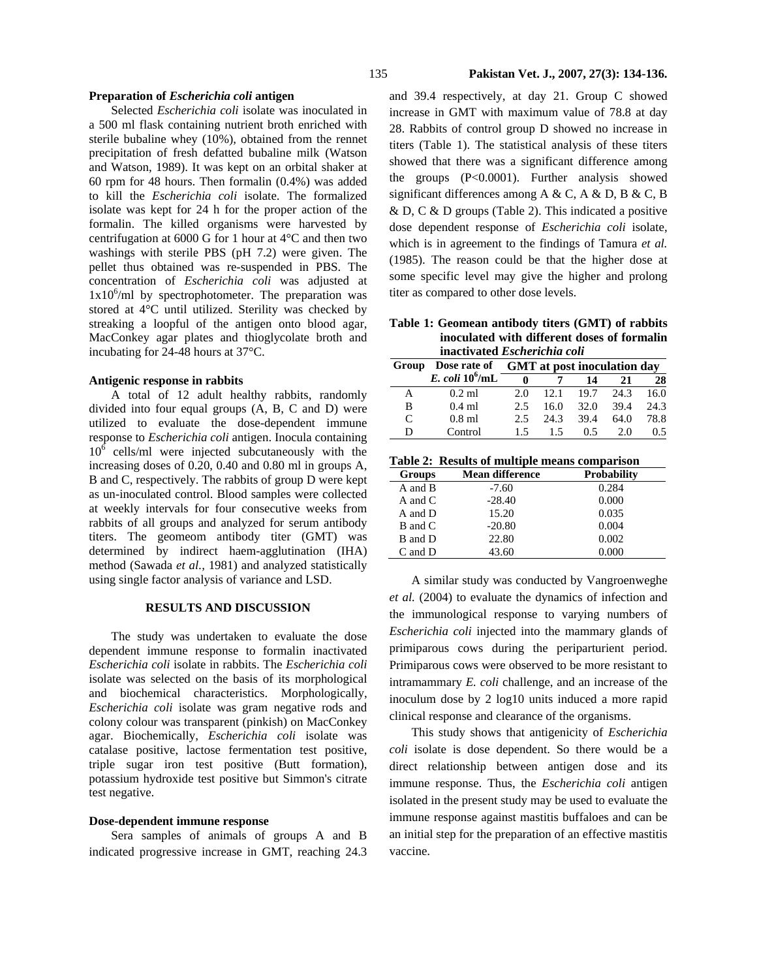### **Preparation of** *Escherichia coli* **antigen**

 Selected *Escherichia coli* isolate was inoculated in a 500 ml flask containing nutrient broth enriched with sterile bubaline whey (10%), obtained from the rennet precipitation of fresh defatted bubaline milk (Watson and Watson, 1989). It was kept on an orbital shaker at 60 rpm for 48 hours. Then formalin (0.4%) was added to kill the *Escherichia coli* isolate. The formalized isolate was kept for 24 h for the proper action of the formalin. The killed organisms were harvested by centrifugation at 6000 G for 1 hour at 4°C and then two washings with sterile PBS (pH 7.2) were given. The pellet thus obtained was re-suspended in PBS. The concentration of *Escherichia coli* was adjusted at  $1x10<sup>6</sup>/ml$  by spectrophotometer. The preparation was stored at 4°C until utilized. Sterility was checked by streaking a loopful of the antigen onto blood agar, MacConkey agar plates and thioglycolate broth and incubating for 24-48 hours at 37°C.

# **Antigenic response in rabbits**

 A total of 12 adult healthy rabbits, randomly divided into four equal groups (A, B, C and D) were utilized to evaluate the dose-dependent immune response to *Escherichia coli* antigen. Inocula containing  $10^6$  cells/ml were injected subcutaneously with the increasing doses of 0.20, 0.40 and 0.80 ml in groups A, B and C, respectively. The rabbits of group D were kept as un-inoculated control. Blood samples were collected at weekly intervals for four consecutive weeks from rabbits of all groups and analyzed for serum antibody titers. The geomeom antibody titer (GMT) was determined by indirect haem-agglutination (IHA) method (Sawada *et al.,* 1981) and analyzed statistically using single factor analysis of variance and LSD.

### **RESULTS AND DISCUSSION**

 The study was undertaken to evaluate the dose dependent immune response to formalin inactivated *Escherichia coli* isolate in rabbits. The *Escherichia coli* isolate was selected on the basis of its morphological and biochemical characteristics. Morphologically, *Escherichia coli* isolate was gram negative rods and colony colour was transparent (pinkish) on MacConkey agar. Biochemically, *Escherichia coli* isolate was catalase positive, lactose fermentation test positive, triple sugar iron test positive (Butt formation), potassium hydroxide test positive but Simmon's citrate test negative.

#### **Dose-dependent immune response**

 Sera samples of animals of groups A and B indicated progressive increase in GMT, reaching 24.3 and 39.4 respectively, at day 21. Group C showed increase in GMT with maximum value of 78.8 at day 28. Rabbits of control group D showed no increase in titers (Table 1). The statistical analysis of these titers showed that there was a significant difference among the groups (P<0.0001). Further analysis showed significant differences among A & C, A & D, B & C, B & D, C & D groups (Table 2). This indicated a positive dose dependent response of *Escherichia coli* isolate, which is in agreement to the findings of Tamura *et al.*  (1985). The reason could be that the higher dose at some specific level may give the higher and prolong titer as compared to other dose levels.

**Table 1: Geomean antibody titers (GMT) of rabbits inoculated with different doses of formalin inactivated** *Escherichia coli*

| Group                       |                      | Dose rate of GMT at post inoculation day |      |      |      |      |  |
|-----------------------------|----------------------|------------------------------------------|------|------|------|------|--|
|                             | $E.$ coli $10^6$ /mL |                                          |      | 14   | 21   | 28   |  |
| А                           | $0.2$ ml             | 2.0                                      | 12.1 | 19.7 | 24.3 | 16.0 |  |
| В                           | $0.4$ ml             | 2.5                                      | 16.0 | 32.0 | 39.4 | 24.3 |  |
| $\mathcal{C}_{\mathcal{C}}$ | $0.8$ ml             | 2.5                                      | 24.3 | 39.4 | 64.0 | 78.8 |  |
| D                           | Control              | 15                                       | 15   | 0.5  | 20   | 0.5  |  |

**Table 2: Results of multiple means comparison** 

| <b>Groups</b> | <b>Mean difference</b> | <b>Probability</b> |
|---------------|------------------------|--------------------|
| A and B       | $-7.60$                | 0.284              |
| A and $C$     | $-28.40$               | 0.000              |
| A and D       | 15.20                  | 0.035              |
| B and C       | $-20.80$               | 0.004              |
| B and D       | 22.80                  | 0.002              |
| C and D       | 43.60                  | 0.000              |

 A similar study was conducted by Vangroenweghe *et al.* (2004) to evaluate the dynamics of infection and the immunological response to varying numbers of *Escherichia coli* injected into the mammary glands of primiparous cows during the periparturient period. Primiparous cows were observed to be more resistant to intramammary *E. coli* challenge, and an increase of the inoculum dose by 2 log10 units induced a more rapid clinical response and clearance of the organisms.

 This study shows that antigenicity of *Escherichia coli* isolate is dose dependent. So there would be a direct relationship between antigen dose and its immune response. Thus, the *Escherichia coli* antigen isolated in the present study may be used to evaluate the immune response against mastitis buffaloes and can be an initial step for the preparation of an effective mastitis vaccine.